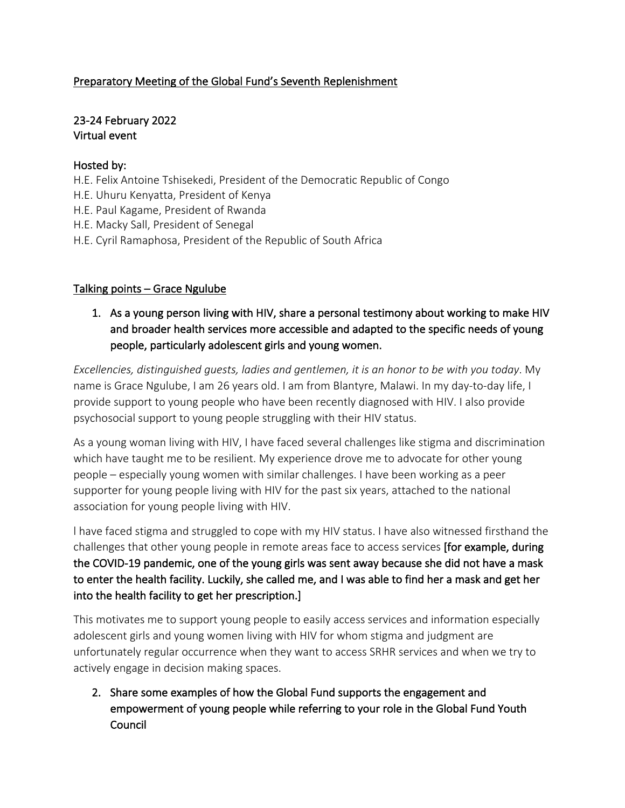## Preparatory Meeting of the Global Fund's Seventh Replenishment

## 23-24 February 2022 Virtual event

#### Hosted by:

- H.E. Felix Antoine Tshisekedi, President of the Democratic Republic of Congo
- H.E. Uhuru Kenyatta, President of Kenya
- H.E. Paul Kagame, President of Rwanda
- H.E. Macky Sall, President of Senegal
- H.E. Cyril Ramaphosa, President of the Republic of South Africa

## Talking points – Grace Ngulube

1. As a young person living with HIV, share a personal testimony about working to make HIV and broader health services more accessible and adapted to the specific needs of young people, particularly adolescent girls and young women.

*Excellencies, distinguished guests, ladies and gentlemen, it is an honor to be with you today*. My name is Grace Ngulube, I am 26 years old. I am from Blantyre, Malawi. In my day-to-day life, I provide support to young people who have been recently diagnosed with HIV. I also provide psychosocial support to young people struggling with their HIV status.

As a young woman living with HIV, I have faced several challenges like stigma and discrimination which have taught me to be resilient. My experience drove me to advocate for other young people – especially young women with similar challenges. I have been working as a peer supporter for young people living with HIV for the past six years, attached to the national association for young people living with HIV.

l have faced stigma and struggled to cope with my HIV status. I have also witnessed firsthand the challenges that other young people in remote areas face to access services [for example, during the COVID-19 pandemic, one of the young girls was sent away because she did not have a mask to enter the health facility. Luckily, she called me, and I was able to find her a mask and get her into the health facility to get her prescription.]

This motivates me to support young people to easily access services and information especially adolescent girls and young women living with HIV for whom stigma and judgment are unfortunately regular occurrence when they want to access SRHR services and when we try to actively engage in decision making spaces.

2. Share some examples of how the Global Fund supports the engagement and empowerment of young people while referring to your role in the Global Fund Youth Council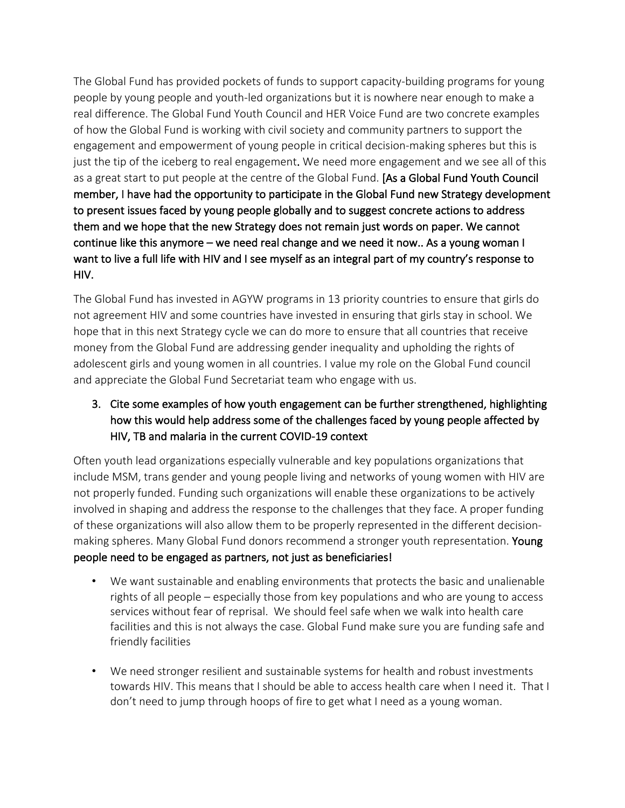The Global Fund has provided pockets of funds to support capacity-building programs for young people by young people and youth-led organizations but it is nowhere near enough to make a real difference. The Global Fund Youth Council and HER Voice Fund are two concrete examples of how the Global Fund is working with civil society and community partners to support the engagement and empowerment of young people in critical decision-making spheres but this is just the tip of the iceberg to real engagement. We need more engagement and we see all of this as a great start to put people at the centre of the Global Fund. [As a Global Fund Youth Council member, I have had the opportunity to participate in the Global Fund new Strategy development to present issues faced by young people globally and to suggest concrete actions to address them and we hope that the new Strategy does not remain just words on paper. We cannot continue like this anymore – we need real change and we need it now.. As a young woman I want to live a full life with HIV and I see myself as an integral part of my country's response to HIV.

The Global Fund has invested in AGYW programs in 13 priority countries to ensure that girls do not agreement HIV and some countries have invested in ensuring that girls stay in school. We hope that in this next Strategy cycle we can do more to ensure that all countries that receive money from the Global Fund are addressing gender inequality and upholding the rights of adolescent girls and young women in all countries. I value my role on the Global Fund council and appreciate the Global Fund Secretariat team who engage with us.

# 3. Cite some examples of how youth engagement can be further strengthened, highlighting how this would help address some of the challenges faced by young people affected by HIV, TB and malaria in the current COVID-19 context

Often youth lead organizations especially vulnerable and key populations organizations that include MSM, trans gender and young people living and networks of young women with HIV are not properly funded. Funding such organizations will enable these organizations to be actively involved in shaping and address the response to the challenges that they face. A proper funding of these organizations will also allow them to be properly represented in the different decisionmaking spheres. Many Global Fund donors recommend a stronger youth representation. Young people need to be engaged as partners, not just as beneficiaries!

- We want sustainable and enabling environments that protects the basic and unalienable rights of all people – especially those from key populations and who are young to access services without fear of reprisal. We should feel safe when we walk into health care facilities and this is not always the case. Global Fund make sure you are funding safe and friendly facilities
- We need stronger resilient and sustainable systems for health and robust investments towards HIV. This means that I should be able to access health care when I need it. That I don't need to jump through hoops of fire to get what I need as a young woman.